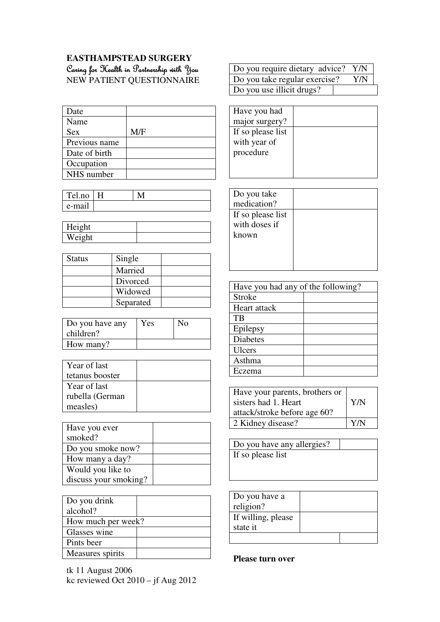## **EASTHAMPSTEAD SURGERY**  Caring for Kealth in Partnership with You NEW PATIENT QUESTIONNAIRE

| Date          |     |
|---------------|-----|
| Name          |     |
| <b>Sex</b>    | M/F |
| Previous name |     |
| Date of birth |     |
| Occupation    |     |
| NHS number    |     |

| Tel.no  | Н |  |
|---------|---|--|
| -e-mail |   |  |

| Height |  |
|--------|--|
| Weight |  |

| <b>Status</b> | Single    |  |
|---------------|-----------|--|
|               | Married   |  |
|               | Divorced  |  |
|               | Widowed   |  |
|               | Separated |  |

| Do you have any<br>children? | Yes | No |
|------------------------------|-----|----|
| How many?                    |     |    |

| Year of last    |  |
|-----------------|--|
| tetanus booster |  |
| Year of last    |  |
| rubella (German |  |
| measles)        |  |

| Have you ever         |  |
|-----------------------|--|
| smoked?               |  |
| Do you smoke now?     |  |
| How many a day?       |  |
| Would you like to     |  |
| discuss your smoking? |  |

| Do you drink       |  |
|--------------------|--|
| alcohol?           |  |
| How much per week? |  |
| Glasses wine       |  |
| Pints beer         |  |
| Measures spirits   |  |

tk 11 August 2006 kc reviewed Oct 2010 – jf Aug 2012

| Do you require dietary advice? Y/N |     |
|------------------------------------|-----|
| Do you take regular exercise?      | Y/N |
| Do you use illicit drugs?          |     |

| Have you had      |  |
|-------------------|--|
| major surgery?    |  |
| If so please list |  |
| with year of      |  |
| procedure         |  |
|                   |  |
|                   |  |

| Have you had any of the following? |  |  |
|------------------------------------|--|--|
| Stroke                             |  |  |
| Heart attack                       |  |  |
| TB                                 |  |  |
| Epilepsy                           |  |  |
| <b>Diabetes</b>                    |  |  |
| <b>Ulcers</b>                      |  |  |
| Asthma                             |  |  |
| Eczema                             |  |  |
|                                    |  |  |

| Have your parents, brothers or<br>sisters had 1. Heart<br>attack/stroke before age 60? | Y/N |
|----------------------------------------------------------------------------------------|-----|
| 2 Kidney disease?                                                                      | Y/N |

| Do you have any allergies? |  |
|----------------------------|--|
| If so please list          |  |

| Do you have a<br>religion? |  |
|----------------------------|--|
| If willing, please         |  |
| state it                   |  |
|                            |  |

**Please turn over**